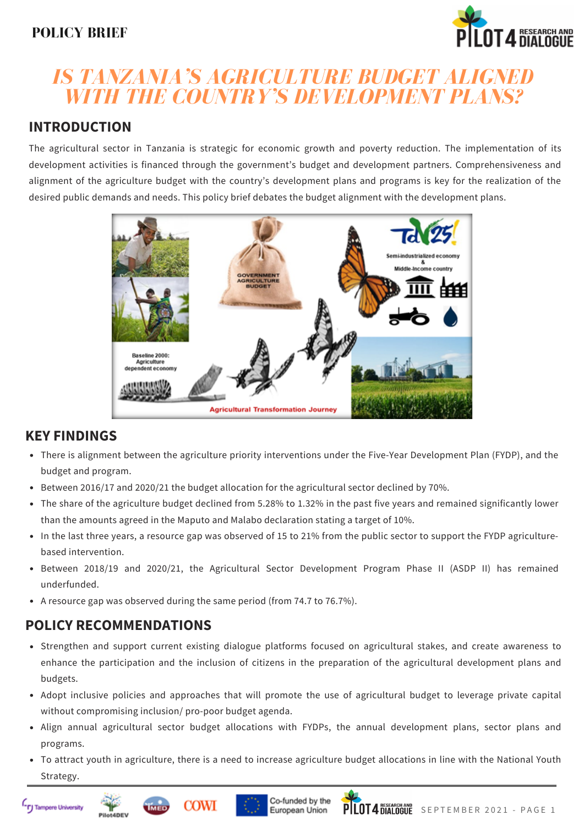# **POLICY BRIEF**



# *IS TANZANIA'S AGRICULTURE BUDGET ALIGNED WITH THE COUNTRY'S DEVELOPMENT PLANS?*

# **INTRODUCTION**

The agricultural sector in Tanzania is strategic for economic growth and poverty reduction. The implementation of its development activities is financed through the government's budget and development partners. Comprehensiveness and alignment of the agriculture budget with the country's development plans and programs is key for the realization of the desired public demands and needs. This policy brief debates the budget alignment with the development plans.



# **KEY FINDINGS**

- There is alignment between the agriculture priority interventions under the Five-Year Development Plan (FYDP), and the budget and program.
- Between 2016/17 and 2020/21 the budget allocation for the agricultural sector declined by 70%.
- The share of the agriculture budget declined from 5.28% to 1.32% in the past five years and remained significantly lower than the amounts agreed in the Maputo and Malabo declaration stating a target of 10%.
- In the last three years, a resource gap was observed of 15 to 21% from the public sector to support the FYDP agriculturebased intervention.
- Between 2018/19 and 2020/21, the Agricultural Sector Development Program Phase II (ASDP II) has remained underfunded.
- A resource gap was observed during the same period (from 74.7 to 76.7%).

# **POLICY RECOMMENDATIONS**

- Strengthen and support current existing dialogue platforms focused on agricultural stakes, and create awareness to enhance the participation and the inclusion of citizens in the preparation of the agricultural development plans and budgets.
- Adopt inclusive policies and approaches that will promote the use of agricultural budget to leverage private capital without compromising inclusion/ pro-poor budget agenda.
- Align annual agricultural sector budget allocations with FYDPs, the annual development plans, sector plans and programs.
- To attract youth in agriculture, there is a need to increase agriculture budget allocations in line with the National Youth Strategy.









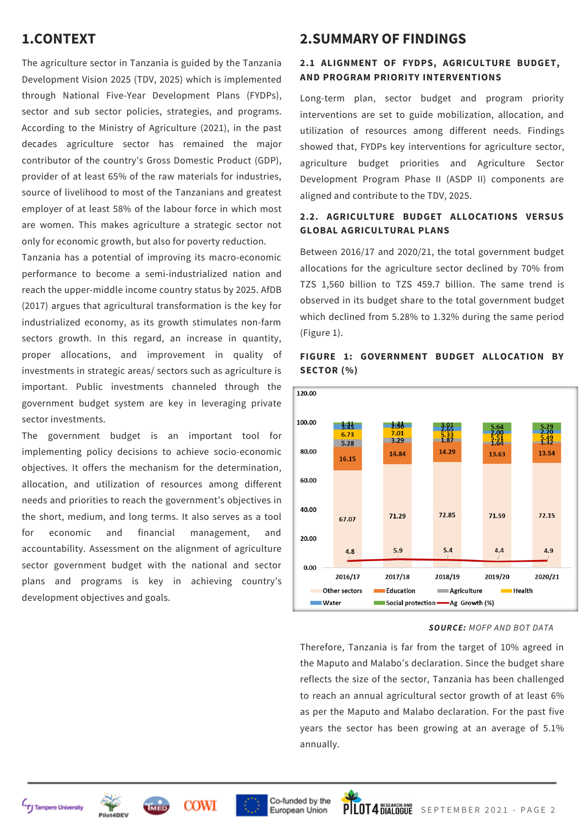# **1.CONTEXT**

The agriculture sector in Tanzania is guided by the Tanzania Development Vision 2025 (TDV, 2025) which is implemented through National Five-Year Development Plans (FYDPs), sector and sub sector policies, strategies, and programs. According to the Ministry of Agriculture (2021), in the past decades agriculture sector has remained the major contributor of the country's Gross Domestic Product (GDP), provider of at least 65% of the raw materials for industries, source of livelihood to most of the Tanzanians and greatest employer of at least 58% of the labour force in which most are women. This makes agriculture a strategic sector not only for economic growth, but also for poverty reduction.

Tanzania has a potential of improving its macro-economic performance to become a semi-industrialized nation and reach the upper-middle income country status by 2025. AfDB (2017) argues that agricultural transformation is the key for industrialized economy, as its growth stimulates non-farm sectors growth. In this regard, an increase in quantity, proper allocations, and improvement in quality of investments in strategic areas/ sectors such as agriculture is important. Public investments channeled through the government budget system are key in leveraging private sector investments.

The government budget is an important tool for implementing policy decisions to achieve socio-economic objectives. It offers the mechanism for the determination, allocation, and utilization of resources among different needs and priorities to reach the government's objectives in the short, medium, and long terms. It also serves as a tool for economic and financial management, and accountability. Assessment on the alignment of agriculture sector government budget with the national and sector plans and programs is key in achieving country's development objectives and goals.

# **2.SUMMARY OF FINDINGS**

## **2.1 ALIGNMENT OF FYDPS, AGRICULTURE BUDGET, AND PROGRAM PRIORITY INTERVENTIONS**

Long-term plan, sector budget and program priority interventions are set to guide mobilization, allocation, and utilization of resources among different needs. Findings showed that, FYDPs key interventions for agriculture sector, agriculture budget priorities and Agriculture Sector Development Program Phase II (ASDP II) components are aligned and contribute to the TDV, 2025.

## **2.2. AGRICULTURE BUDGET ALLOCATIONS VERSUS GLOBAL AGRICULTURAL PLANS**

Between 2016/17 and 2020/21, the total government budget allocations for the agriculture sector declined by 70% from TZS 1,560 billion to TZS 459.7 billion. The same trend is observed in its budget share to the total government budget which declined from 5.28% to 1.32% during the same period (Figure 1).



## **FIGURE 1: GOVERNMENT BUDGET ALLOCATION BY SECTOR (%)**

#### *SOURCE: MOFP AND BOT DATA*

Therefore, Tanzania is far from the target of 10% agreed in the Maputo and Malabo's declaration. Since the budget share reflects the size of the sector, Tanzania has been challenged to reach an annual agricultural sector growth of at least 6% as per the Maputo and Malabo declaration. For the past five years the sector has been growing at an average of 5.1% annually.



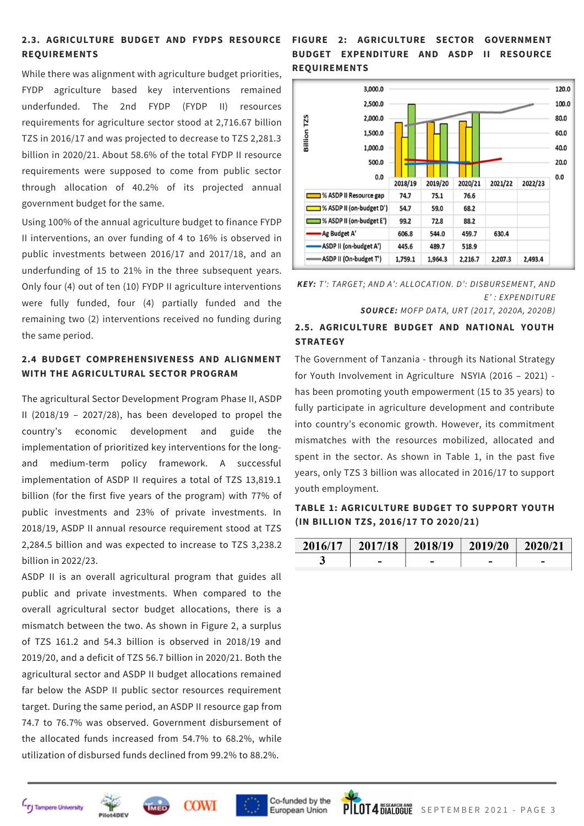# **REQUIREMENTS**

While there was alignment with agriculture budget priorities, FYDP agriculture based key interventions remained underfunded. The 2nd FYDP (FYDP II) resources requirements for agriculture sector stood at 2,716.67 billion TZS in 2016/17 and was projected to decrease to TZS 2,281.3 billion in 2020/21. About 58.6% of the total FYDP II resource requirements were supposed to come from public sector through allocation of 40.2% of its projected annual government budget for the same.

Using 100% of the annual agriculture budget to finance FYDP II interventions, an over funding of 4 to 16% is observed in public investments between 2016/17 and 2017/18, and an underfunding of 15 to 21% in the three subsequent years. Only four (4) out of ten (10) FYDP II agriculture interventions were fully funded, four (4) partially funded and the remaining two (2) interventions received no funding during the same period.

## **2.4 BUDGET COMPREHENSIVENESS AND ALIGNMENT WITH THE AGRICULTURAL SECTOR PROGRAM**

The agricultural Sector Development Program Phase II, ASDP II (2018/19 – 2027/28), has been developed to propel the country's economic development and guide the implementation of prioritized key interventions for the longand medium-term policy framework. A successful implementation of ASDP II requires a total of TZS 13,819.1 billion (for the first five years of the program) with 77% of public investments and 23% of private investments. In 2018/19, ASDP II annual resource requirement stood at TZS 2,284.5 billion and was expected to increase to TZS 3,238.2 billion in 2022/23.

ASDP II is an overall agricultural program that guides all public and private investments. When compared to the overall agricultural sector budget allocations, there is a mismatch between the two. As shown in Figure 2, a surplus of TZS 161.2 and 54.3 billion is observed in 2018/19 and 2019/20, and a deficit of TZS 56.7 billion in 2020/21. Both the agricultural sector and ASDP II budget allocations remained far below the ASDP II public sector resources requirement target. During the same period, an ASDP II resource gap from 74.7 to 76.7% was observed. Government disbursement of the allocated funds increased from 54.7% to 68.2%, while utilization of disbursed funds declined from 99.2% to 88.2%.

## **FIGURE 2: AGRICULTURE SECTOR GOVERNMENT 2.3. AGRICULTURE BUDGET AND FYDPS RESOURCE BUDGET EXPENDITURE AND ASDP II RESOURCE REQUIREMENTS**



*KEY: T': TARGET; AND A': ALLOCATION. D': DISBURSEMENT, AND E' : EXPENDITURE*

*SOURCE: MOFP DATA, URT (2017, 2020A, 2020B)*

## **2.5. AGRICULTURE BUDGET AND NATIONAL YOUTH STRATEGY**

The Government of Tanzania - through its National Strategy for Youth Involvement in Agriculture NSYIA (2016 – 2021) has been promoting youth empowerment (15 to 35 years) to fully participate in agriculture development and contribute into country's economic growth. However, its commitment mismatches with the resources mobilized, allocated and spent in the sector. As shown in Table 1, in the past five years, only TZS 3 billion was allocated in 2016/17 to support youth employment.

## **TABLE 1: AGRICULTURE BUDGET TO SUPPORT YOUTH (IN BILLION TZS, 2016/17 TO 2020/21)**

| $2016/17$   $2017/18$   $2018/19$   $2019/20$   $2020/21$ |  |  |
|-----------------------------------------------------------|--|--|
| -                                                         |  |  |